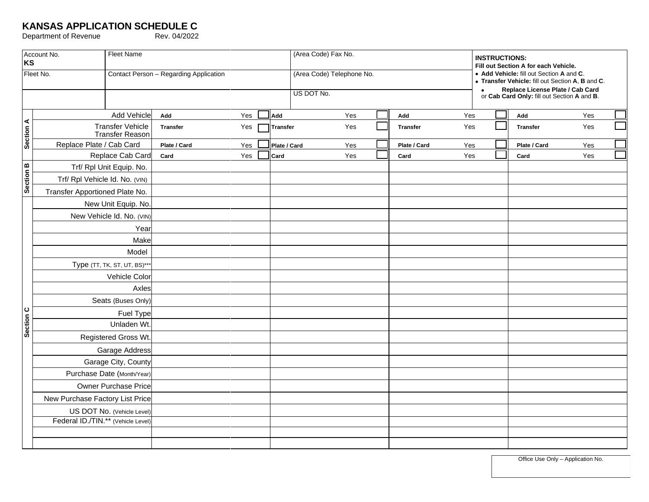## **KANSAS APPLICATION SCHEDULE C**

Department of Revenue Rev. 04/2022

| Account No.<br>KS |                                                   | <b>Fleet Name</b> |                                        |     |      |                 | (Area Code) Fax No.       |                 |     |                                                                                   | <b>INSTRUCTIONS:</b><br>Fill out Section A for each Vehicle.<br>• Add Vehicle: fill out Section A and C.<br>• Transfer Vehicle: fill out Section A, B and C. |                 |     |  |  |
|-------------------|---------------------------------------------------|-------------------|----------------------------------------|-----|------|-----------------|---------------------------|-----------------|-----|-----------------------------------------------------------------------------------|--------------------------------------------------------------------------------------------------------------------------------------------------------------|-----------------|-----|--|--|
| Fleet No.         |                                                   |                   | Contact Person - Regarding Application |     |      |                 | (Area Code) Telephone No. |                 |     |                                                                                   |                                                                                                                                                              |                 |     |  |  |
|                   |                                                   |                   |                                        |     |      |                 | US DOT No.                |                 |     | • Replace License Plate / Cab Card<br>or Cab Card Only: fill out Section A and B. |                                                                                                                                                              |                 |     |  |  |
| Section A         | <b>Add Vehicle</b>                                |                   | Add                                    | Yes | Add  |                 | Yes                       | Add             | Yes |                                                                                   |                                                                                                                                                              | Add             | Yes |  |  |
|                   | <b>Transfer Vehicle</b><br><b>Transfer Reason</b> |                   | <b>Transfer</b>                        | Yes |      | <b>Transfer</b> | Yes                       | <b>Transfer</b> | Yes |                                                                                   |                                                                                                                                                              | <b>Transfer</b> | Yes |  |  |
|                   | Replace Plate / Cab Card                          |                   | Plate / Card                           | Yes |      | Plate / Card    | Yes                       | Plate / Card    | Yes |                                                                                   |                                                                                                                                                              | Plate / Card    | Yes |  |  |
|                   | Replace Cab Card                                  |                   | Card                                   | Yes | Card |                 | Yes                       | Card            | Yes |                                                                                   |                                                                                                                                                              | Card            | Yes |  |  |
| Section B         | Trf/ Rpl Unit Equip. No.                          |                   |                                        |     |      |                 |                           |                 |     |                                                                                   |                                                                                                                                                              |                 |     |  |  |
|                   | Trf/ Rpl Vehicle Id. No. (VIN)                    |                   |                                        |     |      |                 |                           |                 |     |                                                                                   |                                                                                                                                                              |                 |     |  |  |
|                   | Transfer Apportioned Plate No.                    |                   |                                        |     |      |                 |                           |                 |     |                                                                                   |                                                                                                                                                              |                 |     |  |  |
| Section C         | New Unit Equip. No.                               |                   |                                        |     |      |                 |                           |                 |     |                                                                                   |                                                                                                                                                              |                 |     |  |  |
|                   | New Vehicle Id. No. (VIN)                         |                   |                                        |     |      |                 |                           |                 |     |                                                                                   |                                                                                                                                                              |                 |     |  |  |
|                   | Year                                              |                   |                                        |     |      |                 |                           |                 |     |                                                                                   |                                                                                                                                                              |                 |     |  |  |
|                   | Make                                              |                   |                                        |     |      |                 |                           |                 |     |                                                                                   |                                                                                                                                                              |                 |     |  |  |
|                   | Model                                             |                   |                                        |     |      |                 |                           |                 |     |                                                                                   |                                                                                                                                                              |                 |     |  |  |
|                   | Type (TT, TK, ST, UT, BS)**                       |                   |                                        |     |      |                 |                           |                 |     |                                                                                   |                                                                                                                                                              |                 |     |  |  |
|                   | Vehicle Color                                     |                   |                                        |     |      |                 |                           |                 |     |                                                                                   |                                                                                                                                                              |                 |     |  |  |
|                   | Axles                                             |                   |                                        |     |      |                 |                           |                 |     |                                                                                   |                                                                                                                                                              |                 |     |  |  |
|                   | Seats (Buses Only)                                |                   |                                        |     |      |                 |                           |                 |     |                                                                                   |                                                                                                                                                              |                 |     |  |  |
|                   | Fuel Type                                         |                   |                                        |     |      |                 |                           |                 |     |                                                                                   |                                                                                                                                                              |                 |     |  |  |
|                   | Unladen Wt.                                       |                   |                                        |     |      |                 |                           |                 |     |                                                                                   |                                                                                                                                                              |                 |     |  |  |
|                   | Registered Gross Wt.                              |                   |                                        |     |      |                 |                           |                 |     |                                                                                   |                                                                                                                                                              |                 |     |  |  |
|                   | Garage Address                                    |                   |                                        |     |      |                 |                           |                 |     |                                                                                   |                                                                                                                                                              |                 |     |  |  |
|                   | Garage City, County                               |                   |                                        |     |      |                 |                           |                 |     |                                                                                   |                                                                                                                                                              |                 |     |  |  |
|                   | Purchase Date (Month/Year)                        |                   |                                        |     |      |                 |                           |                 |     |                                                                                   |                                                                                                                                                              |                 |     |  |  |
|                   | Owner Purchase Price                              |                   |                                        |     |      |                 |                           |                 |     |                                                                                   |                                                                                                                                                              |                 |     |  |  |
|                   | New Purchase Factory List Price                   |                   |                                        |     |      |                 |                           |                 |     |                                                                                   |                                                                                                                                                              |                 |     |  |  |
|                   | US DOT No. (Vehicle Level)                        |                   |                                        |     |      |                 |                           |                 |     |                                                                                   |                                                                                                                                                              |                 |     |  |  |
|                   | Federal ID./TIN.** (Vehicle Level)                |                   |                                        |     |      |                 |                           |                 |     |                                                                                   |                                                                                                                                                              |                 |     |  |  |
|                   |                                                   |                   |                                        |     |      |                 |                           |                 |     |                                                                                   |                                                                                                                                                              |                 |     |  |  |
|                   |                                                   |                   |                                        |     |      |                 |                           |                 |     |                                                                                   |                                                                                                                                                              |                 |     |  |  |

Office Use Only – Application No.